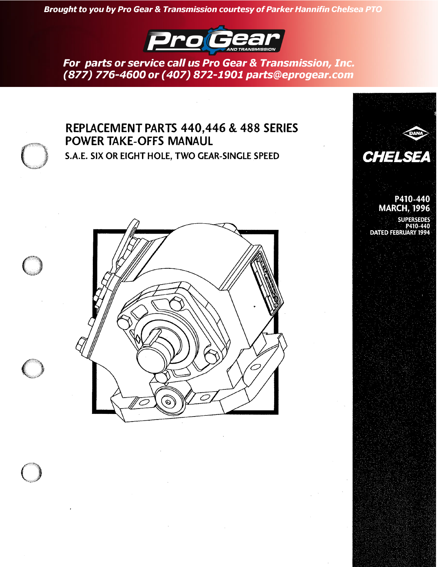*Brought to you by Pro Gear & Transmission courtesy of Parker Hannifin Chelsea PTO*



*For parts or service call us Pro Gear & Transmission, Inc. (877) [776-4600 or \(407\) 872-1901 parts@eprogear.com](https://www.chelseaptopart.com)*



# **REPLACEMENT PARTS 440,446 & 488 SERIES POWER TAKE-OFFS MANAUL**

**S.A.E. SIX OR EIGHT HOLE, TWO GEAR-SINCLE SPEED <b>CHELSEA** 



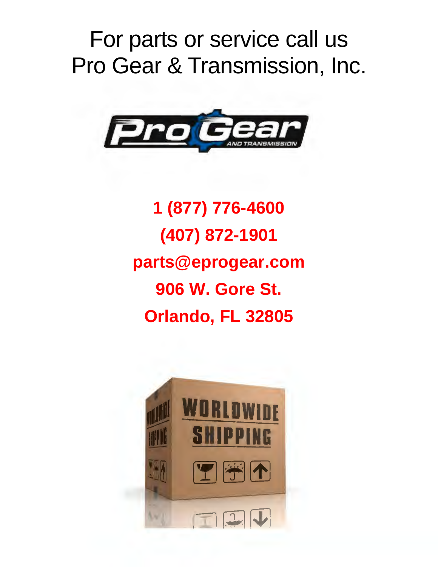# For parts or service call us Pro Gear & Transmission, Inc.



**1 (877) 776-4600 (407) 872-1901 parts@eprogear.com 906 W. Gore St. Orlando, FL 32805** 

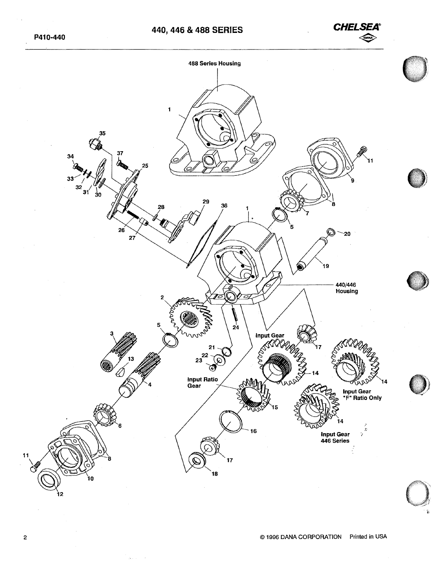*CHELSEA®*   $\bigotimes$ 

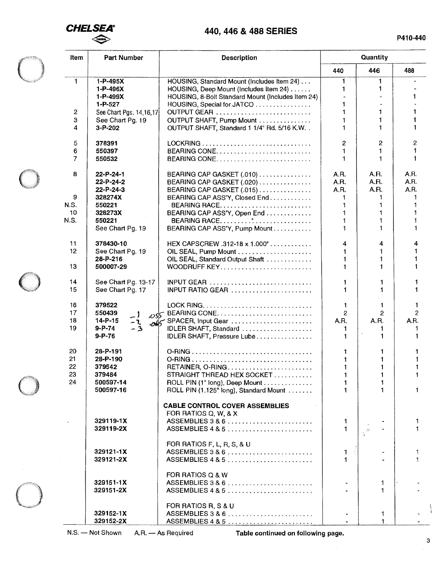

## **440, 446 & 488 SERIES**

| <b>Item</b><br><b>Part Number</b> |                                         | <b>Description</b>                                                                   | Quantity       |                   |                |  |
|-----------------------------------|-----------------------------------------|--------------------------------------------------------------------------------------|----------------|-------------------|----------------|--|
|                                   |                                         |                                                                                      | 440            | 446               | 488            |  |
| $\mathbf{1}$                      | 1-P-495X<br>$1 - P - 496X$              | HOUSING, Standard Mount (Includes Item 24)<br>HOUSING, Deep Mount (Includes item 24) | 1.<br>1        | $\mathbf{1}$<br>1 |                |  |
|                                   | 1-P-499X<br>$1 - P - 527$               | HOUSING, 8-Bolt Standard Mount (Includes Item 24)<br>HOUSING, Special for JATCO      | 1              |                   |                |  |
| 2                                 | See Chart Pgs. 14, 16, 17               | OUTPUT GEAR                                                                          |                |                   |                |  |
| з<br>4                            | See Chart Pg. 19<br>3-P-202             | OUTPUT SHAFT, Pump Mount<br>OUTPUT SHAFT, Standard 1 1/4" Rd. 5/16 K.W. .            |                |                   |                |  |
| 5                                 | 378391                                  |                                                                                      | 2              | 2                 | 2              |  |
| 6<br>7                            | 550397<br>550532                        | BEARING CONE<br>BEARING CONE                                                         | 1              |                   |                |  |
| 8                                 | 22-P-24-1                               | BEARING CAP GASKET (.010)                                                            | A.R.           | A.R.              | A.R.           |  |
|                                   | 22-P-24-2<br>22-P-24-3                  | BEARING CAP GASKET (.020)<br>BEARING CAP GASKET (.015)                               | A.R.<br>A.R.   | A.R.<br>A.R.      | A.R.<br>A.R.   |  |
| 9                                 | 328274X                                 | BEARING CAP ASS'Y, Closed End                                                        | 1              | 1                 |                |  |
| N.S.                              | 550221                                  | BEARING RACE                                                                         | 1              |                   |                |  |
| 10                                | 328273X                                 | BEARING CAP ASS'Y, Open End                                                          |                |                   |                |  |
| N.S.                              | 550221<br>See Chart Pg. 19              | BEARING RACE<br>BEARING CAP ASS'Y, Pump Mount                                        |                |                   |                |  |
| 11                                | 378430-10                               | HEX CAPSCREW .312-18 x 1.000"                                                        | 4              | 4                 | 4              |  |
| 12                                | See Chart Pg. 19                        |                                                                                      |                |                   |                |  |
| 13                                | 28-P-216<br>500007-29                   | OIL SEAL, Standard Output Shaft<br>WOODRUFF KEY                                      |                |                   |                |  |
| 14<br>15                          | See Chart Pg. 13-17<br>See Chart Pg. 17 | INPUT GEAR $\ldots \ldots \ldots \ldots \ldots \ldots \ldots$<br>INPUT RATIO GEAR    | 1.             |                   | 1              |  |
| 16                                | 379522                                  |                                                                                      | 1.             | 1.                |                |  |
| 17                                | 550439<br>$-1$                          | ost BEARING CONE                                                                     | $\overline{2}$ | $\overline{2}$    | $\overline{2}$ |  |
| 18                                | $14 - P - 15$<br>-ጊ                     | SPACER, Input Gear                                                                   | A.R.           | A.R.              | A.R.           |  |
| 19                                | $9 - P - 74$<br>$-3$<br>$9 - P - 76$    | IDLER SHAFT, Standard<br>IDLER SHAFT, Pressure Lube                                  |                | 1<br>1            |                |  |
| 20                                | 28-P-191                                |                                                                                      |                | 1                 |                |  |
| 21<br>22                          | 28-P-190<br>379542                      |                                                                                      |                |                   |                |  |
| 23                                | 379484                                  | RETAINER, O-RING<br>STRAIGHT THREAD HEX SOCKET                                       | 1              | 1                 |                |  |
| 24                                | 500597-14                               | ROLL PIN (1" long), Deep Mount                                                       | 1              | 1                 |                |  |
|                                   | 500597-16                               | ROLL PIN (1.125" long), Standard Mount                                               |                | 1                 |                |  |
|                                   |                                         | <b>CABLE CONTROL COVER ASSEMBLIES</b><br>FOR RATIOS Q, W, & X                        |                |                   |                |  |
|                                   | 329119-1X                               | ASSEMBLIES 3 & 6                                                                     | 1.             |                   |                |  |
|                                   | 329119-2X                               | ASSEMBLIES $485$                                                                     | 1.             |                   |                |  |
|                                   | 329121-1X                               | FOR RATIOS F, L, R, S, & U<br>ASSEMBLIES 3 & 6                                       | 1.             |                   |                |  |
|                                   | 329121-2X                               | $ASSEMBLIES 4 8 5      $                                                             | 1.             |                   |                |  |
|                                   |                                         | FOR RATIOS Q & W                                                                     |                |                   |                |  |
|                                   | 329151-1X<br>329151-2X                  | ASSEMBLIES 3 & 6<br>$ASSEMBLIES 4 8 5      $                                         |                | 1<br>1            |                |  |
|                                   |                                         | FOR RATIOS R, S & U                                                                  |                |                   |                |  |
|                                   | 329152-1X                               | ASSEMBLIES 3 & 6                                                                     |                | 1.                |                |  |
|                                   | 329152-2X                               | ASSEMBLIES 4 & 5                                                                     |                | 1.                |                |  |

N.S. - Not Shown A.R. - As Required **Table continued on following page.** 

3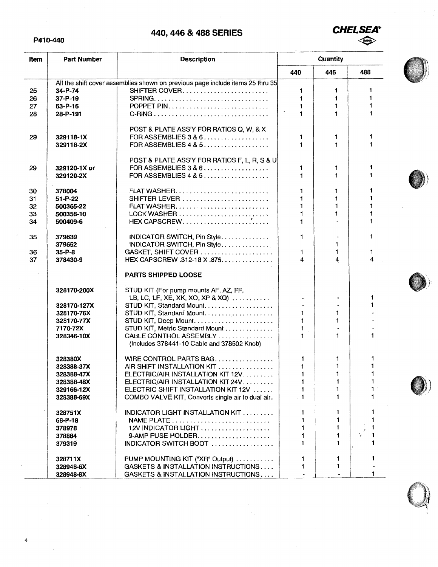#### P410-440



| <b>Part Number</b><br>Item |                        | <b>Description</b>                                                             | Quantity                 |              |               |  |
|----------------------------|------------------------|--------------------------------------------------------------------------------|--------------------------|--------------|---------------|--|
|                            |                        |                                                                                | 440                      | 446          | 488           |  |
|                            |                        | All the shift cover assemblies shown on previous page include items 25 thru 35 |                          |              |               |  |
| 25                         | 34-P-74                | SHIFTER COVER                                                                  | 1                        | 1            | 1             |  |
| 26                         | $37 - P - 19$          |                                                                                | 1                        | 1            | 1             |  |
| 27                         | 63-P-16                |                                                                                |                          | 1            | 1             |  |
| 28                         | 28-P-191               |                                                                                | 1.                       | 1            | 1             |  |
|                            |                        |                                                                                |                          |              |               |  |
|                            |                        | POST & PLATE ASS'Y FOR RATIOS Q, W, & X                                        |                          |              |               |  |
| 29                         | 329118-1X              | FOR ASSEMBLIES 3 & 6                                                           | 1                        | 1            | 1             |  |
|                            | 329118-2X              | FOR ASSEMBLIES 4 & 5                                                           | 1                        | 1            | 1             |  |
|                            |                        |                                                                                |                          |              |               |  |
|                            |                        | POST & PLATE ASS'Y FOR RATIOS F, L, R, S & U                                   |                          |              |               |  |
| 29                         | 329120-1X or           | FOR ASSEMBLIES 3 & 6                                                           | 1.                       | 1            | 1             |  |
|                            | 329120-2X              | FOR ASSEMBLIES 4 & 5                                                           | 1                        | 1            | 1             |  |
|                            |                        |                                                                                |                          |              | 1             |  |
| 30                         | 378004                 | SHIFTER LEVER                                                                  | 1                        | 1<br>1       |               |  |
| 31                         | $51 - P - 22$          |                                                                                |                          | 1            | 1             |  |
| 32<br>33                   | 500365-22<br>500356-10 | LOCK WASHER $\ldots \ldots \ldots \ldots \ldots \ldots \ldots \ldots$          |                          |              |               |  |
| 34                         | 500409-6               |                                                                                | 1                        |              | 1             |  |
|                            |                        |                                                                                |                          |              |               |  |
| 35                         | 379639                 | INDICATOR SWITCH, Pin Style                                                    | 1                        |              | $\mathbf{1}$  |  |
|                            | 379652                 | INDICATOR SWITCH, Pin Style                                                    |                          | 1            |               |  |
| 36                         | $35 - P - 8$           | GASKET, SHIFT COVER                                                            | 1.                       | $\mathbf{1}$ | 1             |  |
| 37                         | 378430-9               | HEX CAPSCREW .312-18 X .875.                                                   | 4                        | 4            | 4             |  |
|                            |                        |                                                                                |                          |              |               |  |
|                            |                        | PARTS SHIPPED LOOSE                                                            |                          |              |               |  |
|                            | 328170-200X            | STUD KIT (For pump mounts AF, AZ, FF,                                          |                          |              |               |  |
|                            |                        | LB, LC, LF, XE, XK, XO, XP & XQ) $\ldots \ldots \ldots$                        | $\overline{\phantom{a}}$ |              | 1             |  |
|                            | 328170-127X            |                                                                                |                          |              | 1             |  |
|                            | 328170-76X             |                                                                                | 1                        | 1            |               |  |
|                            | 328170-77X             |                                                                                | 1                        | 1            |               |  |
|                            | 7170-72X               | STUD KIT, Metric Standard Mount                                                | 1                        |              |               |  |
|                            | 328346-10X             | CABLE CONTROL ASSEMBLY                                                         | 1                        | 1.           | 1             |  |
|                            |                        | (Includes 378441-10 Cable and 378502 Knob)                                     |                          |              |               |  |
|                            |                        |                                                                                |                          |              |               |  |
|                            | 328380X                | WIRE CONTROL PARTS BAG                                                         | 1                        | 1            | 1             |  |
|                            | 328388-37X             | AIR SHIFT INSTALLATION KIT                                                     | 1                        | 1.           |               |  |
|                            | 328388-47X             | ELECTRIC/AIR INSTALLATION KIT 12V.                                             |                          |              |               |  |
|                            | 328388-48X             | ELECTRIC/AIR INSTALLATION KIT 24V                                              | 1                        | 1            |               |  |
|                            | 329166-12X             | ELECTRIC SHIFT INSTALLATION KIT 12V                                            | 1                        | 1.           |               |  |
|                            | 328388-69X             | COMBO VALVE KIT, Converts single air to dual air.                              |                          | 1            |               |  |
|                            | 328751X                | INDICATOR LIGHT INSTALLATION KIT                                               | $\mathbf{1}$             | 1            |               |  |
|                            | 68-P-18                |                                                                                | $\sim 10$                |              |               |  |
|                            | 378978                 |                                                                                |                          | 1            | $\mathcal{L}$ |  |
|                            | 378884                 | 9-AMP FUSE HOLDER                                                              |                          |              |               |  |
|                            | 379319                 | INDICATOR SWITCH BOOT                                                          |                          | 1            |               |  |
|                            |                        | PUMP MOUNTING KIT ("XR" Output)                                                | 1                        | 1            | 1             |  |
|                            | 328711X<br>328948-6X   | <b>GASKETS &amp; INSTALLATION INSTRUCTIONS</b>                                 |                          | 1.           |               |  |
|                            | 328948-8X              | GASKETS & INSTALLATION INSTRUCTIONS                                            |                          |              | 1             |  |
|                            |                        |                                                                                |                          |              |               |  |



)



4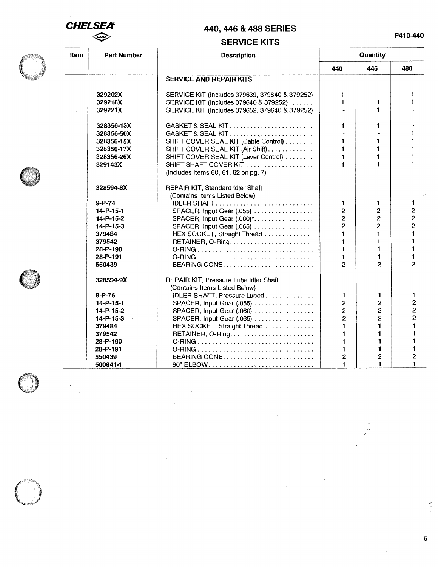

# **SERVICE KITS**

| ltem | <b>Part Number</b> | <b>Description</b>                             |                | Quantity       |                |
|------|--------------------|------------------------------------------------|----------------|----------------|----------------|
|      |                    |                                                | 440            | 446            | 488            |
|      |                    | <b>SERVICE AND REPAIR KITS</b>                 |                |                |                |
|      | 329202X            | SERVICE KIT (Includes 379639, 379640 & 379252) | 1              |                |                |
|      | 329218X            | SERVICE KIT (Includes 379640 & 379252)         | 1              | 1              |                |
|      | 329221X            | SERVICE KIT (Includes 379652, 379640 & 379252) |                | 1              |                |
|      | 328356-13X         | GASKET & SEAL KIT                              | 1              | 1              |                |
|      | 328356-50X         | GASKET & SEAL KIT                              |                |                |                |
|      | 328356-15X         | SHIFT COVER SEAL KIT (Cable Control)           | 1              | 1              |                |
|      | 328356-17X         | SHIFT COVER SEAL KIT (Air Shift)               | $\mathbf{1}$   | 1              |                |
|      | 328356-26X         | SHIFT COVER SEAL KIT (Lever Control)           |                | $\blacksquare$ |                |
|      | 329143X            | SHIFT SHAFT COVER KIT                          | $\blacksquare$ |                |                |
|      |                    | (Includes Items 60, 61, 62 on pg. 7)           |                |                |                |
|      | 328594-8X          | REPAIR KIT, Standard Idler Shaft               |                |                |                |
|      |                    | (Contains Items Listed Below)                  |                |                |                |
|      | $9 - P - 74$       | IDLER SHAFT                                    | $\mathbf{1}$   | $\mathbf 1$    | 1              |
|      | $14 - P - 15 - 1$  | SPACER, Input Gear (.055)                      | $\overline{2}$ | 2              | 2              |
|      | 14-P-15-2          | SPACER, Input Gear (.060) *                    | $\overline{2}$ | $\overline{c}$ | $\overline{c}$ |
|      | $14 - P - 15 - 3$  | SPACER, Input Gear (.065)                      | $\overline{2}$ | $\overline{2}$ | $\overline{2}$ |
|      | 379484             | HEX SOCKET, Straight Thread                    |                | $\blacksquare$ |                |
|      | 379542             |                                                |                | 1              |                |
|      | 28-P-190           |                                                | $\mathbf{1}$   | 1              |                |
|      | 28-P-191           |                                                |                | 1              |                |
|      | 550439             |                                                | 2              | 2              | 2              |
|      | 328594-9X          | REPAIR KIT, Pressure Lube Idler Shaft          |                |                |                |
|      |                    | (Contains Items Listed Below)                  |                |                |                |
|      | $9 - P - 76$       | IDLER SHAFT, Pressure Lubed                    | 1              | 1              | 1              |
|      | 14-P-15-1          | SPACER, Input Gear (.055)                      | $\overline{2}$ | 2              | 2              |
|      | 14-P-15-2          | SPACER, Input Gear (.060)                      | $\overline{2}$ | 2              | $\overline{2}$ |
|      | $14 - P - 15 - 3$  | SPACER, Input Gear (.065)                      | $\overline{2}$ | $\overline{2}$ | 2              |
|      | 379484             | HEX SOCKET, Straight Thread                    | $\blacksquare$ | 1              |                |
|      | 379542             |                                                | 1              |                |                |
|      | 28-P-190           |                                                | 1              |                |                |
|      | 28-P-191           |                                                | $\blacksquare$ | 1              |                |
|      | 550439             | BEARING CONE                                   | $\overline{c}$ | $\overline{c}$ | 2              |
|      | 500841-1           | 90° ELBOW                                      | 1              | $\blacksquare$ |                |



5

 $\frac{d^2}{2g}$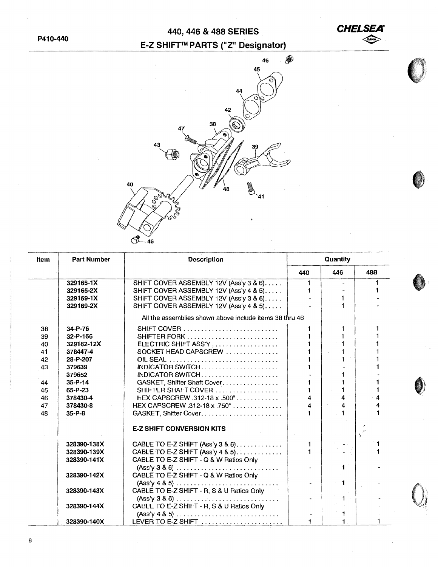

 $\bullet$ 

### E-Z SHIFT™ PARTS ("Z" Designator)



| Item | <b>Part Number</b> | <b>Description</b>                                                                   | Quantity             |                |          |  |
|------|--------------------|--------------------------------------------------------------------------------------|----------------------|----------------|----------|--|
|      |                    |                                                                                      | 440                  | 446            | 488      |  |
|      | 329165-1X          | SHIFT COVER ASSEMBLY 12V (Ass'y 3 & 6)                                               | 1.                   |                |          |  |
|      | 329165-2X          | SHIFT COVER ASSEMBLY 12V (Ass'y 4 & 5)                                               |                      |                |          |  |
|      | 329169-1X          | SHIFT COVER ASSEMBLY 12V (Ass'y 3 & 6)                                               |                      |                |          |  |
|      | 329169-2X          | SHIFT COVER ASSEMBLY 12V (Ass'y 4 & 5)                                               |                      |                |          |  |
|      |                    | All the assemblies shown above include items 38 thru 46                              |                      |                |          |  |
| 38   | 34-P-76            | <b>SHIFT COVER</b>                                                                   |                      |                |          |  |
| 39   | 32-P-166           |                                                                                      |                      |                |          |  |
| 40   | 329162-12X         | ELECTRIC SHIFT ASS'Y                                                                 | 1                    |                |          |  |
| 41   | 378447-4           | SOCKET HEAD CAPSCREW                                                                 | $\blacksquare$       | $\blacksquare$ |          |  |
| 42   | 28-P-207           |                                                                                      |                      |                |          |  |
| 43   | 379639             | INDICATOR SWITCH                                                                     |                      |                |          |  |
|      | 379652             | INDICATOR SWITCH                                                                     |                      |                |          |  |
| 44   | $35 - P - 14$      | GASKET, Shifter Shaft Cover.                                                         |                      |                |          |  |
| 45   | 65-P-23            | SHIFTER SHAFT COVER                                                                  | 1                    | 1              |          |  |
| 46   | 378430-4           | HEX CAPSCREW .312-18 x .500"                                                         | 4                    | $\overline{4}$ | 4        |  |
| 47   | 378430-8           | HEX CAPSCREW .312-18 x .750"                                                         | 4                    | 4              | 4        |  |
| 48   | $35 - P - 8$       |                                                                                      |                      |                |          |  |
|      |                    | <b>E-Z SHIFT CONVERSION KITS</b>                                                     |                      |                | $5^{25}$ |  |
|      | 328390-138X        | CABLE TO E-Z SHIFT $(Ass'y 3 & 6)$                                                   | 1                    |                |          |  |
|      | 328390-139X        | CABLE TO E-Z SHIFT (Ass'y 4 & 5)                                                     |                      |                |          |  |
|      | 328390-141X        | CABLE TO E-Z SHIFT - Q & W Ratios Only                                               |                      |                |          |  |
|      |                    | $(Ass'y 3 & 6) \ldots \ldots \ldots \ldots \ldots \ldots \ldots \ldots$              |                      |                |          |  |
|      | 328390-142X        | CABLE TO E-Z SHIFT - Q & W Ratios Only                                               |                      |                |          |  |
|      |                    | $(Ass\prime y 4 8 5) \ldots \ldots \ldots \ldots \ldots \ldots \ldots \ldots \ldots$ | $\ddot{\phantom{0}}$ | $\sim$ 1       |          |  |
|      | 328390-143X        | CABLE TO E-Z SHIFT - R, S & U Ratios Only                                            |                      |                |          |  |
|      |                    | $(Ass\' \vee 3 \& 6) \dots \dots \dots \dots \dots \dots \dots \dots \dots \dots$    | $\blacksquare$       |                |          |  |
|      | 328390-144X        | CABLE TO E-Z SHIFT - R, S & U Ratios Only                                            |                      |                |          |  |
|      |                    | $(Ass'y 4 & 5) \ldots \ldots \ldots \ldots \ldots \ldots \ldots$                     |                      | 1              |          |  |
|      | 328390-140X        | LEVER TO E-Z SHIFT                                                                   | 1.                   | $\mathbf 1$    |          |  |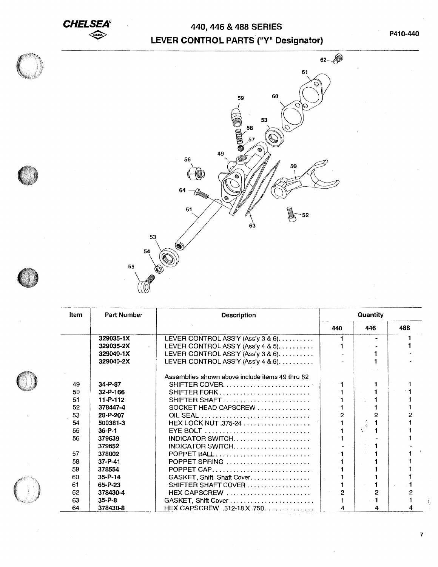# **CHELSEA** 440, 446 & 488 SERIES LEVER CONTROL PARTS ("Y" Designator)



| ltem | Part Number    | <b>Description</b>                              | <b>Quantity</b> |                 |     |  |
|------|----------------|-------------------------------------------------|-----------------|-----------------|-----|--|
|      |                |                                                 | 440             | 446             | 488 |  |
|      | 329035-1X      | LEVER CONTROL ASS'Y (Ass'y $3 & 6$ )            |                 | ٠               |     |  |
|      | 329035-2X      | LEVER CONTROL ASS'Y (Ass'y 4 & 5)               |                 |                 |     |  |
|      | 329040-1X      | LEVER CONTROL ASS'Y (Ass'y 3 & 6)               |                 |                 |     |  |
|      | 329040-2X      | LEVER CONTROL ASS'Y (Ass'y 4 & 5). $\dots$      |                 |                 |     |  |
|      |                | Assemblies shown above include items 49 thru 62 |                 |                 |     |  |
| 49   | 34-P-87        |                                                 |                 |                 |     |  |
| 50   | $32 - P - 166$ | SHIFTER FORK                                    |                 |                 |     |  |
| 51   | 11-P-112       |                                                 |                 | $\sim \gamma$ . |     |  |
| 52   | 378447-4       | SOCKET HEAD CAPSCREW                            |                 |                 |     |  |
| 53   | 28-P-207       |                                                 |                 |                 |     |  |
| 54   | 500381-3       | HEX LOCK NUT .375-24                            |                 | - 10            |     |  |
| 55   | $36 - P - 1$   |                                                 |                 |                 |     |  |
| 56   | 379639         |                                                 |                 |                 |     |  |
|      | 379652         | INDICATOR SWITCH                                |                 |                 |     |  |
| 57   | 378002         | POPPET BALL                                     |                 |                 |     |  |
| 58   | $37 - P - 41$  | POPPET SPRING                                   |                 |                 |     |  |
| 59   | 378554         | POPPET CAP                                      |                 |                 |     |  |
| 60   | $35 - P - 14$  | GASKET, Shift Shaft Cover                       |                 |                 |     |  |
| 61   | $65 - P - 23$  | SHIFTER SHAFT COVER                             |                 |                 |     |  |
| 62   | 378430-4       | HEX CAPSCREW                                    | 2               | 2               |     |  |
| 63   | $35 - P - 8$   | GASKET, Shift Cover                             |                 |                 |     |  |
| 64   | 378430-8       | HEX CAPSCREW .312-18 X.750                      | 4               | 4               |     |  |

 $\dot{\xi}_t$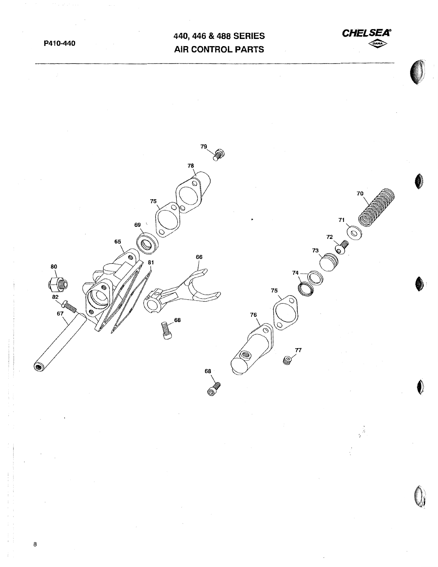**P410-440** 

# **440, 446 & 488 SERIES AIR CONTROL PARTS**





B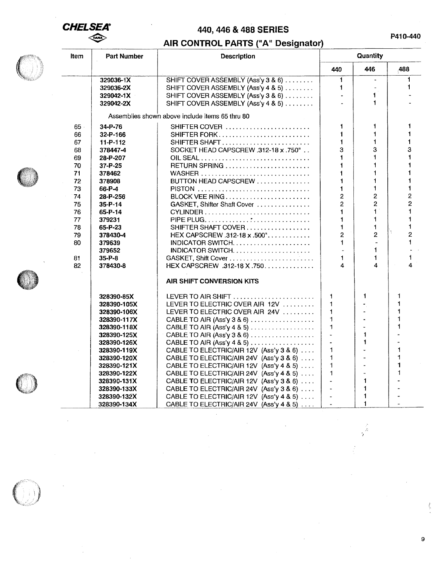## **CHELSEA®**  $\iff$

# 440, 446 & 488 SERIES

**P410-440** 

## AIR CONTROL PARTS ("A" Designator)

| 446<br>.488<br>440<br>$\mathbf{1}$<br>329036-1X<br>SHIFT COVER ASSEMBLY (Ass'y 3 & 6)<br>$\omega$<br>$\mathbf{1}$<br>329036-2X<br>SHIFT COVER ASSEMBLY (Ass'y 4 & 5)<br>SHIFT COVER ASSEMBLY (Ass'y 3 & 6)<br>1<br>329042-1X<br>$\blacksquare$<br>1<br>SHIFT COVER ASSEMBLY (Ass'y 4 & 5)<br>329042-2X<br>Assemblies shown above include items 65 thru 80<br>$\mathbf{1}$<br>34-P-76<br>SHIFTER COVER $\ldots \ldots \ldots \ldots \ldots \ldots \ldots$<br>1<br>65 ·<br>1<br>1<br><b>SHIFTER FORK</b><br>66<br>32-P-166<br>$\mathbf{1}$<br>1<br>11-P-112<br>SHIFTER SHAFT<br>67<br>3<br>SOCKET HEAD CAPSCREW .312-18 x .750°<br>3<br>68<br>378447-4<br>$\blacksquare$<br>1<br>69<br>28-P-207<br>$\mathbf{1}$<br>RETURN SPRING<br>$\mathbf{1}$<br>70<br>37-P-25<br>$\blacksquare$<br>71<br>$\blacksquare$<br>378462<br>BUTTON HEAD CAPSCREW<br>72<br>$\blacktriangleleft$<br>$\mathbf{1}$<br>378908<br>1<br>1<br>73<br>PISTON<br>66-P-4<br>$\overline{c}$<br>$\overline{c}$<br>BLOCK VEE RING<br>74<br>28-P-256<br>$\overline{2}$<br>$\overline{a}$<br>75<br>GASKET, Shifter Shaft Cover<br>$35 - P - 14$<br>1<br>$\mathbf{1}$<br>76<br>65-P-14<br>$CYLINDER$<br>1<br>$\blacksquare$<br>77<br>379231<br>78<br>SHIFTER SHAFT COVER<br>$\blacksquare$<br>1<br>65-P-23<br>$\overline{a}$<br>$\overline{2}$<br>HEX CAPSCREW.312-18 x.500"<br>79<br>378430-4<br>$\mathbf{1}$<br>80<br>379639<br>INDICATOR SWITCH. $\ldots \ldots \ldots \ldots \ldots \ldots$<br>$\overline{a}$<br>1<br>379652<br>$\blacksquare$<br>$\mathbf{1}$<br>$35 - P - B$<br>GASKET, Shift Cover<br>81<br>82<br>378430-8<br>HEX CAPSCREW .312-18 X .750<br>4<br>4<br><b>AIR SHIFT CONVERSION KITS</b> |   |
|-------------------------------------------------------------------------------------------------------------------------------------------------------------------------------------------------------------------------------------------------------------------------------------------------------------------------------------------------------------------------------------------------------------------------------------------------------------------------------------------------------------------------------------------------------------------------------------------------------------------------------------------------------------------------------------------------------------------------------------------------------------------------------------------------------------------------------------------------------------------------------------------------------------------------------------------------------------------------------------------------------------------------------------------------------------------------------------------------------------------------------------------------------------------------------------------------------------------------------------------------------------------------------------------------------------------------------------------------------------------------------------------------------------------------------------------------------------------------------------------------------------------------------------------------------------------------------------------------------------------------------------------------------------------------|---|
|                                                                                                                                                                                                                                                                                                                                                                                                                                                                                                                                                                                                                                                                                                                                                                                                                                                                                                                                                                                                                                                                                                                                                                                                                                                                                                                                                                                                                                                                                                                                                                                                                                                                         |   |
|                                                                                                                                                                                                                                                                                                                                                                                                                                                                                                                                                                                                                                                                                                                                                                                                                                                                                                                                                                                                                                                                                                                                                                                                                                                                                                                                                                                                                                                                                                                                                                                                                                                                         | 1 |
|                                                                                                                                                                                                                                                                                                                                                                                                                                                                                                                                                                                                                                                                                                                                                                                                                                                                                                                                                                                                                                                                                                                                                                                                                                                                                                                                                                                                                                                                                                                                                                                                                                                                         | 1 |
|                                                                                                                                                                                                                                                                                                                                                                                                                                                                                                                                                                                                                                                                                                                                                                                                                                                                                                                                                                                                                                                                                                                                                                                                                                                                                                                                                                                                                                                                                                                                                                                                                                                                         |   |
|                                                                                                                                                                                                                                                                                                                                                                                                                                                                                                                                                                                                                                                                                                                                                                                                                                                                                                                                                                                                                                                                                                                                                                                                                                                                                                                                                                                                                                                                                                                                                                                                                                                                         |   |
|                                                                                                                                                                                                                                                                                                                                                                                                                                                                                                                                                                                                                                                                                                                                                                                                                                                                                                                                                                                                                                                                                                                                                                                                                                                                                                                                                                                                                                                                                                                                                                                                                                                                         |   |
|                                                                                                                                                                                                                                                                                                                                                                                                                                                                                                                                                                                                                                                                                                                                                                                                                                                                                                                                                                                                                                                                                                                                                                                                                                                                                                                                                                                                                                                                                                                                                                                                                                                                         | 1 |
|                                                                                                                                                                                                                                                                                                                                                                                                                                                                                                                                                                                                                                                                                                                                                                                                                                                                                                                                                                                                                                                                                                                                                                                                                                                                                                                                                                                                                                                                                                                                                                                                                                                                         |   |
|                                                                                                                                                                                                                                                                                                                                                                                                                                                                                                                                                                                                                                                                                                                                                                                                                                                                                                                                                                                                                                                                                                                                                                                                                                                                                                                                                                                                                                                                                                                                                                                                                                                                         | 1 |
|                                                                                                                                                                                                                                                                                                                                                                                                                                                                                                                                                                                                                                                                                                                                                                                                                                                                                                                                                                                                                                                                                                                                                                                                                                                                                                                                                                                                                                                                                                                                                                                                                                                                         | 3 |
|                                                                                                                                                                                                                                                                                                                                                                                                                                                                                                                                                                                                                                                                                                                                                                                                                                                                                                                                                                                                                                                                                                                                                                                                                                                                                                                                                                                                                                                                                                                                                                                                                                                                         |   |
|                                                                                                                                                                                                                                                                                                                                                                                                                                                                                                                                                                                                                                                                                                                                                                                                                                                                                                                                                                                                                                                                                                                                                                                                                                                                                                                                                                                                                                                                                                                                                                                                                                                                         |   |
|                                                                                                                                                                                                                                                                                                                                                                                                                                                                                                                                                                                                                                                                                                                                                                                                                                                                                                                                                                                                                                                                                                                                                                                                                                                                                                                                                                                                                                                                                                                                                                                                                                                                         |   |
|                                                                                                                                                                                                                                                                                                                                                                                                                                                                                                                                                                                                                                                                                                                                                                                                                                                                                                                                                                                                                                                                                                                                                                                                                                                                                                                                                                                                                                                                                                                                                                                                                                                                         |   |
|                                                                                                                                                                                                                                                                                                                                                                                                                                                                                                                                                                                                                                                                                                                                                                                                                                                                                                                                                                                                                                                                                                                                                                                                                                                                                                                                                                                                                                                                                                                                                                                                                                                                         |   |
|                                                                                                                                                                                                                                                                                                                                                                                                                                                                                                                                                                                                                                                                                                                                                                                                                                                                                                                                                                                                                                                                                                                                                                                                                                                                                                                                                                                                                                                                                                                                                                                                                                                                         | 2 |
|                                                                                                                                                                                                                                                                                                                                                                                                                                                                                                                                                                                                                                                                                                                                                                                                                                                                                                                                                                                                                                                                                                                                                                                                                                                                                                                                                                                                                                                                                                                                                                                                                                                                         | 2 |
|                                                                                                                                                                                                                                                                                                                                                                                                                                                                                                                                                                                                                                                                                                                                                                                                                                                                                                                                                                                                                                                                                                                                                                                                                                                                                                                                                                                                                                                                                                                                                                                                                                                                         |   |
|                                                                                                                                                                                                                                                                                                                                                                                                                                                                                                                                                                                                                                                                                                                                                                                                                                                                                                                                                                                                                                                                                                                                                                                                                                                                                                                                                                                                                                                                                                                                                                                                                                                                         |   |
|                                                                                                                                                                                                                                                                                                                                                                                                                                                                                                                                                                                                                                                                                                                                                                                                                                                                                                                                                                                                                                                                                                                                                                                                                                                                                                                                                                                                                                                                                                                                                                                                                                                                         |   |
|                                                                                                                                                                                                                                                                                                                                                                                                                                                                                                                                                                                                                                                                                                                                                                                                                                                                                                                                                                                                                                                                                                                                                                                                                                                                                                                                                                                                                                                                                                                                                                                                                                                                         | 2 |
|                                                                                                                                                                                                                                                                                                                                                                                                                                                                                                                                                                                                                                                                                                                                                                                                                                                                                                                                                                                                                                                                                                                                                                                                                                                                                                                                                                                                                                                                                                                                                                                                                                                                         | 1 |
|                                                                                                                                                                                                                                                                                                                                                                                                                                                                                                                                                                                                                                                                                                                                                                                                                                                                                                                                                                                                                                                                                                                                                                                                                                                                                                                                                                                                                                                                                                                                                                                                                                                                         |   |
|                                                                                                                                                                                                                                                                                                                                                                                                                                                                                                                                                                                                                                                                                                                                                                                                                                                                                                                                                                                                                                                                                                                                                                                                                                                                                                                                                                                                                                                                                                                                                                                                                                                                         | 1 |
|                                                                                                                                                                                                                                                                                                                                                                                                                                                                                                                                                                                                                                                                                                                                                                                                                                                                                                                                                                                                                                                                                                                                                                                                                                                                                                                                                                                                                                                                                                                                                                                                                                                                         |   |
|                                                                                                                                                                                                                                                                                                                                                                                                                                                                                                                                                                                                                                                                                                                                                                                                                                                                                                                                                                                                                                                                                                                                                                                                                                                                                                                                                                                                                                                                                                                                                                                                                                                                         |   |
| $\mathbf{1}$<br>1<br>328390-85X<br>LEVER TO AIR SHIFT $\ldots \ldots \ldots \ldots \ldots \ldots \ldots$<br>1                                                                                                                                                                                                                                                                                                                                                                                                                                                                                                                                                                                                                                                                                                                                                                                                                                                                                                                                                                                                                                                                                                                                                                                                                                                                                                                                                                                                                                                                                                                                                           |   |
| LEVER TO ELECTRIC OVER AIR 12V<br>1<br>328390-105X                                                                                                                                                                                                                                                                                                                                                                                                                                                                                                                                                                                                                                                                                                                                                                                                                                                                                                                                                                                                                                                                                                                                                                                                                                                                                                                                                                                                                                                                                                                                                                                                                      |   |
| $\blacktriangleleft$<br>LEVER TO ELECTRIC OVER AIR 24V<br>328390-106X                                                                                                                                                                                                                                                                                                                                                                                                                                                                                                                                                                                                                                                                                                                                                                                                                                                                                                                                                                                                                                                                                                                                                                                                                                                                                                                                                                                                                                                                                                                                                                                                   |   |
| $\mathbf 1$<br>CABLE TO AIR (Ass'y 3 & 6)<br>328390-117X                                                                                                                                                                                                                                                                                                                                                                                                                                                                                                                                                                                                                                                                                                                                                                                                                                                                                                                                                                                                                                                                                                                                                                                                                                                                                                                                                                                                                                                                                                                                                                                                                |   |
| $\blacksquare$<br>CABLE TO AIR (Ass'y 4 & 5) $\dots \dots \dots \dots \dots$<br>328390-118X                                                                                                                                                                                                                                                                                                                                                                                                                                                                                                                                                                                                                                                                                                                                                                                                                                                                                                                                                                                                                                                                                                                                                                                                                                                                                                                                                                                                                                                                                                                                                                             |   |
| $\blacksquare$<br>l.<br>CABLE TO AIR (Ass'y $3 & 6$ )<br>328390-125X                                                                                                                                                                                                                                                                                                                                                                                                                                                                                                                                                                                                                                                                                                                                                                                                                                                                                                                                                                                                                                                                                                                                                                                                                                                                                                                                                                                                                                                                                                                                                                                                    |   |
| $\blacktriangleleft$<br>328390-126X<br>CABLE TO AIR (Ass'y 4 & 5) $\dots \dots \dots \dots \dots$                                                                                                                                                                                                                                                                                                                                                                                                                                                                                                                                                                                                                                                                                                                                                                                                                                                                                                                                                                                                                                                                                                                                                                                                                                                                                                                                                                                                                                                                                                                                                                       |   |
| $\mathbf{1}$<br>CABLE TO ELECTRIC/AIR 12V (Ass'y 3 & 6)<br>328390-119X<br>1                                                                                                                                                                                                                                                                                                                                                                                                                                                                                                                                                                                                                                                                                                                                                                                                                                                                                                                                                                                                                                                                                                                                                                                                                                                                                                                                                                                                                                                                                                                                                                                             |   |
| $\mathbf{1}$<br>1<br>328390-120X<br>CABLE TO ELECTRIC/AIR 24V (Ass'y 3 & 6)                                                                                                                                                                                                                                                                                                                                                                                                                                                                                                                                                                                                                                                                                                                                                                                                                                                                                                                                                                                                                                                                                                                                                                                                                                                                                                                                                                                                                                                                                                                                                                                             |   |
| $\mathbf{1}$<br>1<br>328390-121X<br>CABLE TO ELECTRIC/AIR 12V (Ass'y 4 & 5)                                                                                                                                                                                                                                                                                                                                                                                                                                                                                                                                                                                                                                                                                                                                                                                                                                                                                                                                                                                                                                                                                                                                                                                                                                                                                                                                                                                                                                                                                                                                                                                             |   |
| $\mathbf{1}$<br>CABLE TO ELECTRIC/AIR 24V (Ass'y 4 & 5)<br>1<br>328390-122X                                                                                                                                                                                                                                                                                                                                                                                                                                                                                                                                                                                                                                                                                                                                                                                                                                                                                                                                                                                                                                                                                                                                                                                                                                                                                                                                                                                                                                                                                                                                                                                             |   |
| $\mathbf{1}$<br>CABLE TO ELECTRIC/AIR 12V (Ass'y 3 & 6)<br>328390-131X                                                                                                                                                                                                                                                                                                                                                                                                                                                                                                                                                                                                                                                                                                                                                                                                                                                                                                                                                                                                                                                                                                                                                                                                                                                                                                                                                                                                                                                                                                                                                                                                  |   |
| CABLE TO ELECTRIC/AIR 24V (Ass'y 3 & 6)<br>1<br>328390-133X<br>$\ddot{\phantom{1}}$                                                                                                                                                                                                                                                                                                                                                                                                                                                                                                                                                                                                                                                                                                                                                                                                                                                                                                                                                                                                                                                                                                                                                                                                                                                                                                                                                                                                                                                                                                                                                                                     |   |
| CABLE TO ELECTRIC/AIR 12V (Ass'y 4 & 5)<br>1<br>328390-132X                                                                                                                                                                                                                                                                                                                                                                                                                                                                                                                                                                                                                                                                                                                                                                                                                                                                                                                                                                                                                                                                                                                                                                                                                                                                                                                                                                                                                                                                                                                                                                                                             |   |
| 1<br>328390-134X<br>CABLE TO ELECTRIC/AIR 24V (Ass'y 4 & 5)<br>$\bar{\phantom{a}}$                                                                                                                                                                                                                                                                                                                                                                                                                                                                                                                                                                                                                                                                                                                                                                                                                                                                                                                                                                                                                                                                                                                                                                                                                                                                                                                                                                                                                                                                                                                                                                                      |   |

9

 $\frac{\partial}{\partial t}$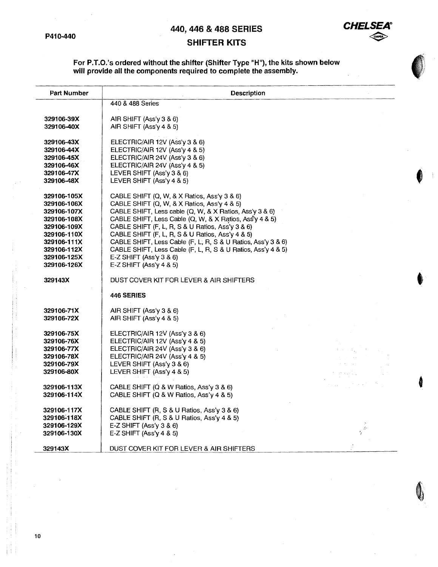

# SHIFTER KITS

#### For P.T.O.'s ordered without the shifter (Shifter Type "H"), the kits shown below will provide all the components required to complete the assembly.

| Part Number                                                                                                                                        | Description                                                                                                                                                                                                                                                                                                                                                                                                                                                                                                          |               |
|----------------------------------------------------------------------------------------------------------------------------------------------------|----------------------------------------------------------------------------------------------------------------------------------------------------------------------------------------------------------------------------------------------------------------------------------------------------------------------------------------------------------------------------------------------------------------------------------------------------------------------------------------------------------------------|---------------|
|                                                                                                                                                    | 440 & 488 Series                                                                                                                                                                                                                                                                                                                                                                                                                                                                                                     |               |
| 329106-39X<br>329106-40X                                                                                                                           | AIR SHIFT $(Ass\vee 3 \& 6)$<br>AIR SHIFT (Ass'y 4 & 5)                                                                                                                                                                                                                                                                                                                                                                                                                                                              |               |
| 329106-43X<br>329106-44X<br>329106-45X<br>329106-46X<br>329106-47X<br>329106-48X                                                                   | ELECTRIC/AIR 12V (Ass'y 3 & 6)<br>ELECTRIC/AIR 12V (Ass'y 4 & 5)<br>ELECTRIC/AIR 24V (Ass'y 3 & 6)<br>ELECTRIC/AIR 24V (Ass'y 4 & 5)<br>LEVER SHIFT (Ass'y 3 & 6)<br>LEVER SHIFT (Ass'y 4 & 5)                                                                                                                                                                                                                                                                                                                       |               |
| 329106-105X<br>329106-106X<br>329106-107X<br>329106-108X<br>329106-109X<br>329106-110X<br>329106-111X<br>329106-112X<br>329106-125X<br>329106-126X | CABLE SHIFT (Q, W, & X Ratios, Ass'y $3 & 6$ )<br>CABLE SHIFT (Q, W, & X Ratios, Ass'y 4 & 5)<br>CABLE SHIFT, Less cable (Q, W, & X Ratios, Ass'y 3 & 6)<br>CABLE SHIFT, Less Cable (Q, W, & X Ratios, Ass'y 4 & 5)<br>CABLE SHIFT (F, L, R, S & U Ratios, Ass'y 3 & 6)<br>CABLE SHIFT (F, L, R, S & U Ratios, Ass'y 4 & 5)<br>CABLE SHIFT, Less Cable (F, L, R, S & U Ratios, Ass'y 3 & 6)<br>CABLE SHIFT, Less Cable (F, L, R, S & U Ratios, Ass'y 4 & 5)<br>E-Z SHIFT (Ass'y $3 & 6$ )<br>E-Z SHIFT (Ass'y 4 & 5) |               |
| 329143X                                                                                                                                            | DUST COVER KIT FOR LEVER & AIR SHIFTERS                                                                                                                                                                                                                                                                                                                                                                                                                                                                              |               |
|                                                                                                                                                    | 446 SERIES                                                                                                                                                                                                                                                                                                                                                                                                                                                                                                           |               |
| 329106-71X<br>329106-72X                                                                                                                           | AIR SHIFT $(Ass\vee 3 & 6)$<br>AIR SHIFT (Ass'y 4 & 5)                                                                                                                                                                                                                                                                                                                                                                                                                                                               |               |
| 329106-75X<br>329106-76X<br>329106-77X<br>329106-78X<br>329106-79X<br>329106-80X                                                                   | ELECTRIC/AIR 12V (Ass'y 3 & 6)<br>ELECTRIC/AIR 12V (Ass'y 4 & 5)<br>ELECTRIC/AIR 24V (Ass'y 3 & 6)<br>ELECTRIC/AIR 24V (Ass'y 4 & 5)<br>LEVER SHIFT (Ass'y 3 & 6)<br>LEVER SHIFT (Ass'y 4 & 5)                                                                                                                                                                                                                                                                                                                       |               |
| 329106-113X<br>329106-114X                                                                                                                         | CABLE SHIFT (Q & W Ratios, Ass'y 3 & 6)<br>CABLE SHIFT (Q & W Ratios, Ass'y 4 & 5)                                                                                                                                                                                                                                                                                                                                                                                                                                   |               |
| 329106-117X<br>329106-118X<br>329106-129X<br>329106-130X                                                                                           | CABLE SHIFT (R, S & U Ratios, Ass'y 3 & 6)<br>CABLE SHIFT (R, S & U Ratios, Ass'y 4 & 5)<br>E-Z SHIFT (Ass'y $3 & 6$ )<br>E-Z SHIFT (Ass'y 4 & 5)                                                                                                                                                                                                                                                                                                                                                                    | $\frac{1}{2}$ |
| 329143X                                                                                                                                            | DUST COVER KIT FOR LEVER & AIR SHIFTERS                                                                                                                                                                                                                                                                                                                                                                                                                                                                              |               |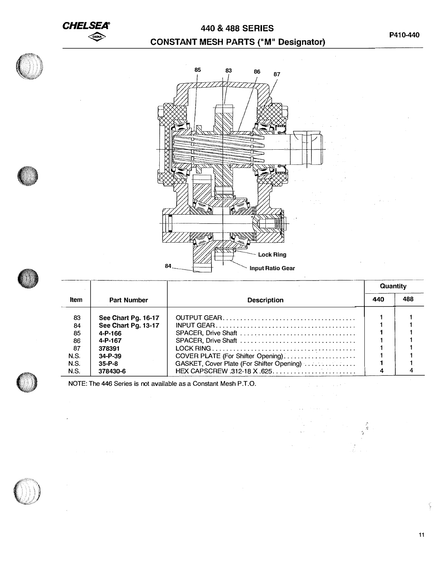**CHELSEA®** 

# *CHELSEA* **440 & 488 SERIES 1222 CONSTANT MESH PARTS ("M" Designator)**





|             |                     |                                           |  | Quantity |  |
|-------------|---------------------|-------------------------------------------|--|----------|--|
| Item        | <b>Part Number</b>  | <b>Description</b>                        |  | 488      |  |
| 83          | See Chart Pg. 16-17 |                                           |  |          |  |
| 84          | See Chart Pg. 13-17 |                                           |  |          |  |
| 85          | 4-P-166             |                                           |  |          |  |
| 86          | 4-P-167             |                                           |  |          |  |
| 87          | 378391              |                                           |  |          |  |
| N.S.        | $34 - P - 39$       | COVER PLATE (For Shifter Opening)         |  |          |  |
| <b>N.S.</b> | $35 - P - 8$        | GASKET, Cover Plate (For Shifter Opening) |  |          |  |
| N.S.        | 378430-6            |                                           |  |          |  |

 $\mathbb{R}^2$ 





i.<br>V

 $\frac{\delta}{2}$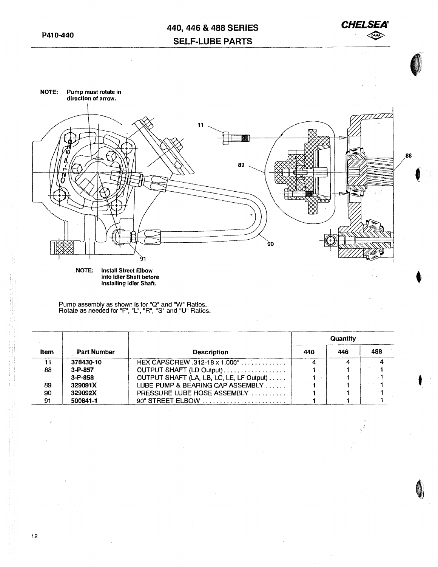

**t** 



installing Idler Shaft.

Pump assembly as shown is for "Q" and "W" Ratios. Rotate as neecfed for "F", "L", "R", "S" and "U" Ratios.

|      |               |                                          | Quantity |     |     |  |
|------|---------------|------------------------------------------|----------|-----|-----|--|
| ltem | Part Number   | <b>Description</b>                       | 440      | 446 | 488 |  |
|      | 378430-10     | HEX CAPSCREW .312-18 x 1.000"            |          |     |     |  |
| 88   | $3 - P - 857$ | OUTPUT SHAFT (LD Output)                 |          |     |     |  |
|      | $3 - P - 858$ | OUTPUT SHAFT (LA, LB, LC, LE, LF Output) |          |     |     |  |
| 89   | 329091X       | LUBE PUMP & BEARING CAP ASSEMBLY         |          |     |     |  |
| 90   | 329092X       | <b>PRESSURE LUBE HOSE ASSEMBLY</b>       |          |     |     |  |
| 91   | 500841-1      | 90° STREET ELBOW                         |          |     |     |  |

12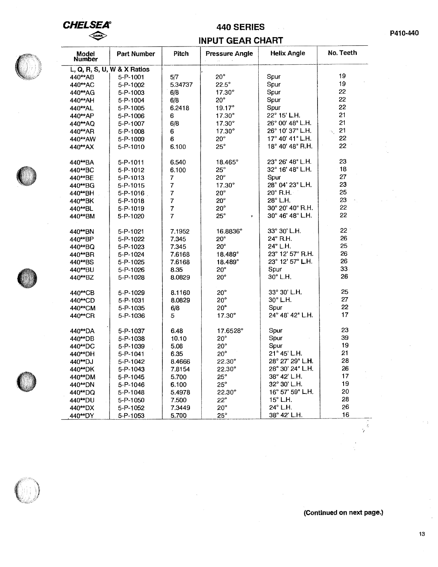## **CHELSEA DAMA**

## **440 SERIES**

## **INPUT GEAR CHART**

| Model<br>Number | <b>Part Number</b>          | Pitch          | <b>Pressure Angle</b> | <b>Helix Angle</b> | No. Teeth       |
|-----------------|-----------------------------|----------------|-----------------------|--------------------|-----------------|
|                 | L, Q, R, S, U, W & X Ratios |                |                       |                    |                 |
| 440**AB         | 5-P-1001                    | 5/7            | $20^{\circ}$          | Spur               | 19              |
| 440**AC         | 5-P-1002                    | 5,34737        | $22.5^\circ$          | Spur               | 19              |
| 440**AG         | 5-P-1003                    | 6/8            | $17.30^\circ$         | Spur               | 22              |
| 440**AH         | 5-P-1004                    | 6/8            | $20^{\circ}$          | Spur               | 22              |
| 440**AL         | 5-P-1005                    | 6.2418         | $19.17^\circ$         | Spur               | 22              |
| 440**AP         | 5-P-1006                    | 6              | $17.30^{\circ}$       | 22° 15' L.H.       | 21              |
| 440**AQ         | 5-P-1007                    | 6/8            | 17.30°                | 26° 00' 48" L.H.   | 21              |
| 440**AR         | 5-P-1008                    | 6              | $17.30^\circ$         | 26° 10' 37" L.H.   | 21<br>Ñ.        |
| 440**AW         | 5-P-1009                    | 6              | $20^{\circ}$          | 17° 40' 41" L.H.   | 22              |
| 440**AX         | 5-P-1010                    | 6.100          | $25^{\circ}$          | 18° 40' 48" R.H.   | 22              |
| 440**BA         | 5-P-1011                    | 6.540          | $18.465^{\circ}$      | 23° 26' 48" L.H.   | 23              |
| 440**BC         | 5-P-1012                    | 6.100          | $25^{\circ}$          | 32° 16' 48" L.H.   | 18              |
| 440**BE         | 5-P-1013                    | 7              | $20^{\circ}$          | Spur               | 27              |
| 440**BG         | 5-P-1015                    | $\overline{7}$ | $17.30^\circ$         | 28° 04' 23" L.H.   | 23              |
| 440**BH         | $5 - P - 1016$              | $\overline{7}$ | $20^{\circ}$          | 20° R.H. -         | 25              |
| 440**BK         | 5-P-1018                    | $\overline{7}$ | $20^{\circ}$          | 28° L.H.           | 23              |
| 440**BL         | 5-P-1019                    | $\overline{7}$ | $20^{\circ}$          | 30° 20' 40" R.H.   | 22              |
| 440**BM         | 5-P-1020                    | $\overline{7}$ | $25^\circ$<br>٠       | 30° 46' 48" L.H.   | 22              |
| 440**BN         | 5-P-1021                    | 7.1952         | 16.8836°              | 33° 30' L.H.       | 22 <sup>1</sup> |
| 440**BP         | 5-P-1022                    | 7.345          | $20^{\circ}$          | $24^\circ$ R.H.    | 26              |
| 440**BQ         | 5-P-1023                    | 7.345          | $20^\circ$            | 24° L.H.           | 25              |
| 440**BR         | 5-P-1024                    | 7.6168         | 18.489°               | 23° 12' 57" R.H.   | 26              |
| 440**BS         | 5-P-1025                    | 7.6168         | 18.489°               | 23° 12' 57" L.H.   | 26              |
| 440**BU         | 5-P-1026                    | 8.35           | $20^{\circ}$          | Spur               | $33 -$          |
| 440**BZ         | 5-P-1028                    | 8.0829         | $20^{\circ}$          | 30° L.H.           | 26              |
| 440**CB         | 5-P-1029                    | 8.1160         | $20^{\circ}$          | 33° 30' L.H.       | 25              |
| 440**CD         | 5-P-1031                    | 8.0829         | $20^{\circ}$          | $30^\circ$ L.H.    | 27              |
| 440**CM         | 5-P-1035                    | 6/8            | $20^{\circ}$          | Spur               | 22              |
| 440**CR         | 5-P-1036                    | 5              | $17.30^\circ$         | 24° 48' 42" L.H.   | 17              |
| 440**DA         | 5-P-1037                    | 6.48           | 17.6528°              | Spur               | 23              |
| 440**DB         | 5-P-1038                    | 10.10          | 20°                   | Spur               | 39              |
| 440**DC         | 5-P-1039                    | 5.08           | $20^\circ$            | Spur               | 19              |
| 440**DH         | 5-P-1041                    | 6.35           | $20^{\circ}$          | 21° 45' L.H.       | 21              |
| 440**DJ         | 5-P-1042                    | 8.4666         | $22.30^\circ$         | 28° 27' 29" L.H.   | 28              |
| 440**DK         | 5-P-1043                    | 7.8154         | $22.30^{\circ}$       | 28° 30' 24" L.H.   | 26              |
| 440**DM         | 5-P-1045                    | 5.700          | $25^\circ$            | 38° 42' L.H.       | 17              |
| 440**DN         | 5-P-1046                    | 6.100          | $25^\circ$            | 32° 30' L.H.       | 19              |
| 440**DQ         | 5-P-1048                    | 5.4978         | $22.30^\circ$         | 16° 57' 59" L.H.   | 20              |
| 440**DU         | 5-P-1050                    | 7.500          | $22^{\circ}$          | $15^\circ$ L.H.    | 28              |
| 440**DX         | 5-P-1052                    | 7.3449         | $20^{\circ}$          | 24° L.H.           | 26              |
| 440**DY         | 5-P-1053                    | 5.700          | $25^{\circ}$          | 38° 42' L.H.       | 16              |
|                 |                             |                |                       |                    |                 |







 $\frac{1}{\sqrt{\frac{2}{3}}}$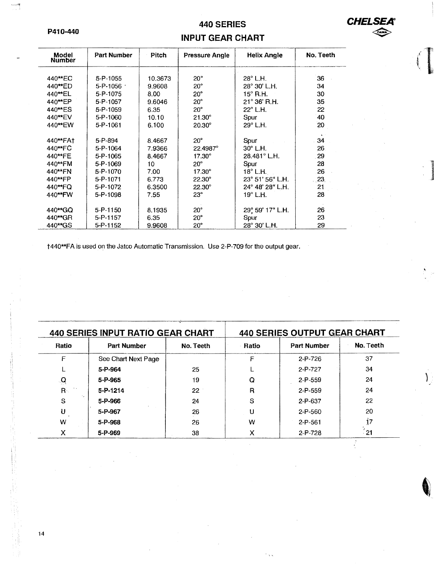#### P410-440

پهښې

# 440 SERIES INPUT GEAR CHART

**CHEL** 

 $\iff$ 

. ]

 $\int_{\mathcal{L}}$ 

| Model<br><b>Number</b> | Part Number    | <b>Pitch</b> | <b>Pressure Angle</b> | <b>Helix Angle</b> | No. Teeth       |
|------------------------|----------------|--------------|-----------------------|--------------------|-----------------|
|                        |                |              |                       |                    |                 |
| 440 <sup>**</sup> EC   | $5 - P - 1055$ | 10.3673      | $20^{\circ}$          | $28^\circ$ L.H.    | 36              |
| 440**ED                | $5 - P - 1056$ | 9.9608       | $20^\circ$            | 28° 30' L.H.       | 34              |
| 440**EL                | 5-P-1075       | 8.00         | $20^{\circ}$          | $15^\circ$ R.H.    | 30              |
| 440**EP                | 5-P-1057       | 9.6046       | $20^{\circ}$          | 21° 36' R.H.       | 35              |
| 440 <sup>**</sup> ES   | 5-P-1059       | 6.35         | $20^\circ$            | 22° L.H.           | 22              |
| 440 <sup>**</sup> EV   | 5-P-1060       | 10.10        | $21.30^{\circ}$       | Spur               | 40              |
| 440**EW                | 5-P-1061       | 6.100        | $20.30^\circ$         | $29^\circ$ L.H.    | 20              |
|                        |                |              |                       |                    |                 |
| 440**FA1               | 5-P-894        | 8.4667       | $20^{\circ}$          | Spur               | 34              |
| 440 <sup>**</sup> FC   | $5 - P - 1064$ | 7.9366       | 22.4987°              | $30^\circ$ L.H.    | 26              |
| 440**FE                | 5-P-1065       | 8.4667       | $17.30^{\circ}$       | 28.481° L.H.       | 29              |
| 440**FM                | 5-P-1069       | 10           | $20^{\circ}$          | Spur               | 28              |
| 440**FN                | 5-P-1070       | 7.00         | $17.30^\circ$         | $18^\circ$ L.H.    | 26              |
| 440**FP                | 5-P-1071       | 6.773        | $22.30^{\circ}$       | 23° 51' 56" L.H.   | 23 <sub>1</sub> |
| 440**FQ                | 5-P-1072       | 6.3500       | $22.30^\circ$         | 24° 48' 28" L.H.   | 21              |
| 440**FW                | 5-P-1098       | 7.55         | $23^\circ$            | $19^\circ$ L.H.    | 28              |
|                        |                |              |                       |                    |                 |
| 440**GQ                | 5-P-1150       | 8.1935       | $20^{\circ}$          | 29° 59' 17" L.H.   | 26              |
| 440**GR                | 5-P-1157       | 6.35         | $20^{\circ}$          | Spur               | 23              |
| 440**GS                | 5-P-1152       | 9.9608       | $20^{\circ}$          | 28° 30' L.H.       | 29              |

t440\*\*FA is used on the Jatco Automatic Transmission. Use 2-P-709 for the output gear.

| <b>440 SERIES INPUT RATIO GEAR CHART</b> |                     |           | <b>440 SERIES OUTPUT GEAR CHART</b> |                    |           |
|------------------------------------------|---------------------|-----------|-------------------------------------|--------------------|-----------|
| Ratio                                    | <b>Part Number</b>  | No. Teeth | Ratio                               | <b>Part Number</b> | No. Teeth |
| F                                        | See Chart Next Page |           | F                                   | 2-P-726            | 37        |
|                                          | 5-P-964             | 25        |                                     | $2 - P - 727$      | 34        |
| $\mathbf{Q}$                             | 5-P-965             | 19        | Q                                   | $2 - P - 559$      | 24        |
| R <sub>1</sub>                           | 5-P-1214            | 22        | R                                   | $2-P-559$          | 24        |
| S                                        | 5-P-966             | 24        | S                                   | 2-P-637            | 22        |
| U                                        | 5-P-967             | 26        |                                     | $2 - P - 560$      | 20        |
| W                                        | 5-P-968             | 26        | w                                   | $2 - P - 561$      | Ţ7        |
| x                                        | 5-P-969             | 38        | x                                   | $2-P-728$          | - 21      |

14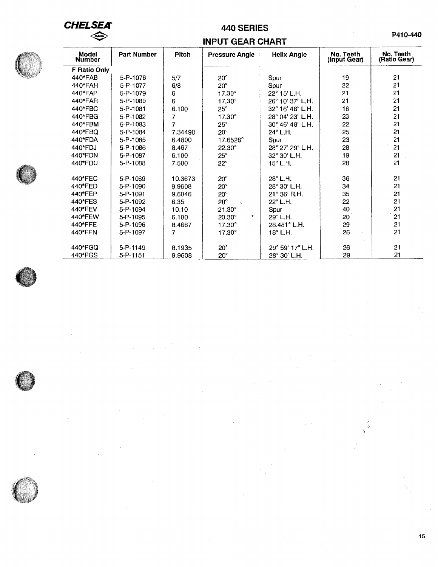# **CHELSEA®**  $\overline{u}$

# **440 SERIES**

# **INPUT GEAR CHART**



| Model<br>Number | <b>Part Number</b> | <b>Pitch</b> | <b>Pressure Angle</b> | <b>Helix Angle</b>    | No. Teeth<br>(Input Gear) | No. Teeth<br>(Ratio Gear) |
|-----------------|--------------------|--------------|-----------------------|-----------------------|---------------------------|---------------------------|
| F Ratio Only    |                    |              |                       |                       |                           |                           |
| 440*FAB         | 5-P-1076           | 5/7          | $20^{\circ}$          | Spur                  | 19                        | 21                        |
| 440*FAH         | 5-P-1077           | 6/8          | $20^\circ$            | Spur                  | 22                        | 21                        |
| 440*FAP         | 5-P-1079           | 6            | $17.30^\circ$         | 22° 15' L.H.          | 21                        | 21                        |
| 440*FAR         | 5-P-1080           | 6            | 17.30°                | 26° 10' 37" L.H.      | 21                        | 21                        |
| 440*FBC         | 5-P-1081           | 6.100        | $25^\circ$            | 32° 16' 48" L.H.      | 18                        | 21                        |
| 440*FBG         | 5-P-1082           | 7            | $17.30^\circ$         | 28° 04' 23" L.H.      | 23                        | 21                        |
| 440*FBM         | 5-P-1083           | 7            | $25^\circ$            | 30° 46' 48" L.H.      | 22                        | 21                        |
| 440*FBQ         | 5-P-1084           | 7.34498      | $20^{\circ}$          | 24° L.H.              | 25                        | 21                        |
| 440*FDA         | 5-P-1085           | 6.4800       | 17.6528°              | Spur                  | 23                        | 21                        |
| 440*FDJ         | 5-P-1086           | 8.467        | $22.30^\circ$         | 28° 27' 29" L.H.      | 28                        | 21                        |
| 440*FDN         | 5-P-1087           | 6.100        | $25^\circ$            | 32° 30' L.H.          | 19                        | 21                        |
| 440*FDU -       | 5-P-1088           | 7.500        | $22^{\circ}$          | $15^\circ$ L.H.       | 28                        | 21                        |
| 440*FEC         | 5-P-1089           | 10.3673      | $20^{\circ}$          | $28^\circ$ L.H.       | 36                        | 21                        |
| 440*FED         | 5-P-1090           | 9.9608       | $20^\circ$            | 28° 30' L.H.          | 34                        | 21                        |
| 440*FEP         | 5-P-1091           | 9.6046       | $20^\circ$            | $21^{\circ}$ 36' R.H. | 35                        | 21                        |
| 440*FES         | 5-P-1092           | 6.35         | $20^\circ$            | 22° L.H.              | 22                        | 21                        |
| 440*FEV         | 5-P-1094           | 10.10        | $21.30^\circ$         | Spur                  | 40                        | 21                        |
| 440*FEW         | 5-P-1095           | 6.100        | $20.30^\circ$<br>٠    | 29° L.H.              | 20                        | 21                        |
| 440*FFE         | 5-P-1096           | 8.4667       | $17.30^{\circ}$       | 28.481° L.H.          | 29                        | 21                        |
| 440*FFN         | 5-P-1097           | 7            | $17.30^{\circ}$       | 18° L.H.              | 26                        | 21                        |
| 440*FGQ         | 5-P-1149           | 8.1935       | $20^{\circ}$          | 29° 59' 17" L.H.      | 26                        | 21                        |
| 440*FGS         | 5-P-1151           | 9.9608       | $20^{\circ}$          | 28° 30' L.H.          | 29                        | 21                        |









ri<br>Vite

 $\overline{\phantom{a}}$ 

 $\epsilon$ 

**P410-440**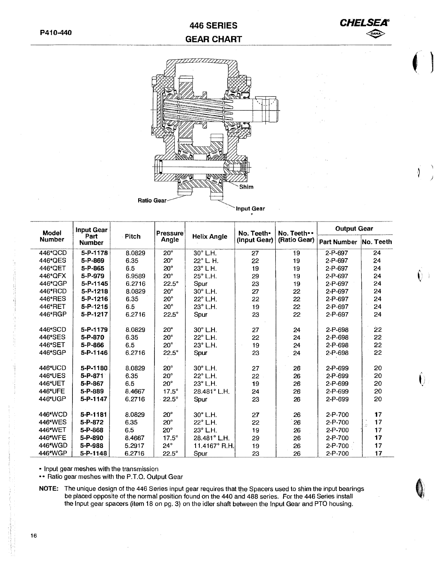# **446 SERIES GEAR CHART**



**f** l

*)* 

đ



Input Gear

| <b>Model</b>  | <b>Input Gear</b>     |                  | <b>Pressure</b>             |                  | No. Teeth•   | No. Teeth •• | <b>Output Gear</b> |           |
|---------------|-----------------------|------------------|-----------------------------|------------------|--------------|--------------|--------------------|-----------|
| <b>Number</b> | Part<br><b>Number</b> | <b>Pitch</b>     | <b>Helix Angle</b><br>Angle |                  | (Input Gear) | (Ratio Gear) | <b>Part Number</b> | No. Teeth |
| 446*QCD       | 5-P-1178              | 8.0829           | 20 <sub>o</sub>             | 30° L.H.         | 27           | 19           | 2-P-697            | 24        |
| 446*QES       | 5-P-869               | 6.35             | $20^{\circ}$                | $22^\circ$ L. H. | 22           | 19           | 2-P-697            | 24        |
| 446*QET       | 5-P-865               | 6.5              | $20^\circ$                  | 23° L H.         | 19           | 19           | 2-P-697            | 24        |
| 446*QFX       | 5-P-979               | 6.9589           | $20^{\circ}$                | 25° L.H.         | 29           | 19           | 2-P-697            | 24        |
| 446*QGP       | 5-P-1145              | 6.2716           | $22.5^\circ$                | Spur             | 23           | 19           | 2-P-697            | 24        |
| 446*RCD       | $5 - P - 1218$        | 8.0829           | $20^{\circ}$                | $30^\circ$ L.H.  | 27           | 22           | 2-P-697            | 24        |
| 446*RES       | 5-P-1216              | 6.35             | $20^{\circ}$                | 22° L.H.         | 22           | 22           | 2-P-697            | 24        |
| 446*RET       | $5 - P - 1215$        | 6.5              | $20^{\circ}$                | 23° L.H.         | 19           | 22           | 2-P-697            | 24        |
| 446*RGP       | 5-P-1217              | 6.2716           | $22.5^\circ$                | Spur             | 23           | 22           | 2-P-697            | 24        |
| 446*SCD       | 5-P-1179              | 8.0829           | $20^{\circ}$                | 30° L.H.         | 27           | 24           | 2-P-698            | 22        |
| 446*SES       | 5-P-870               | 6.35             | $20^{\circ}$                | 22° L.H.         | 22           | 24           | 2-P-698            | 22        |
| 446*SET       | 5-P-866               | 6,5              | $20^{\circ}$                | 23° L.H.         | 19           | 24           | 2-P-698            | 22        |
| 446*SGP       | 5-P-1146              | 6.2716           | $22.5^\circ$                | Spur             | 23           | 24           | 2-P-698            | 22        |
| 446*UCD       | 5-P-1180              | 8.0829           | $20^{\circ}$                | 30° L.H.         | 27           | 26           | $2 - P - 699$      | 20        |
| 446*UES       | 5-P-871               | 6.35             | $20^{\circ}$                | 22° L.H.         | 22           | 26           | $2-P-699$          | 20        |
| 446*UET       | 5-P-867               | 6.5              | $20^{\circ}$                | 23° L.H.         | 19           | 26           | 2-P-699            | 20        |
| 446*UFE       | 5-P-889               | 8.4667           | $17.5^\circ$                | 28.481° L.H.     | 24           | 26           | 2-P-699            | 20        |
| 446*UGP       | 5-P-1147              | 6.2716           | $22.5^\circ$                | Spur             | 23           | 26           | 2-P-699            | 20        |
| 446*WCD       | 5-P-1181              | 8.0829           | $20^{\circ}$                | 30° L.H.         | 27           | 26           | $2-P-700$          | 17        |
| 446*WES       | 5-P-872               | 6.35             | $20^{\circ}$                | 22° L.H.         | 22           | 26           | 2-P-700            | 17        |
| 446*WET       | 5-P-868               | 6.5              | $20^\circ$                  | 23° L.H.         | 19           | 26           | 2-P-700            | j.<br>17  |
| 446*WFE       | 5-P-890               |                  | $17.5^\circ$                | 28.481° L.H.     |              |              | 2-P-700            | 17        |
| 446*WGD       | 5-P-988               | 8,4667<br>5.2917 | $24^\circ$                  | 11.4167° R.H.    | 29           | 26           | 2-P-700            | 17        |
|               |                       |                  |                             |                  | 19           | 26           |                    |           |
| 446*WGP       | 5-P-1148              | 6.2716           | $22.5^\circ$                | Spur             | 23           | 26           | 2-P-700            | 17        |

• Input gear meshes with the transmission

•• Ratio gear meshes with the P.T.O. Output Gear

**NOTE:** The unique design of the 446 Series input gear requires that the Spacers used to shim the input bearings be placed opposite of the normal position found on the 440 and 488 series. For the 446 Series install the Input gear spacers (item 18 on pg. 3) on the idler shaft between the Input Gear and PTO housing.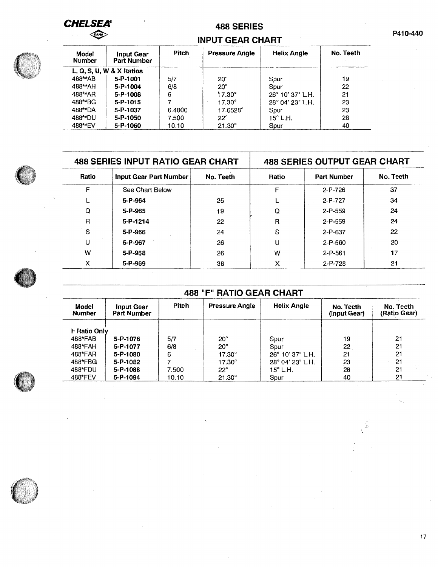**CHELSEA®**  $\iff$ 

## 488 SERIES

## INPUT GEAR CHART

| Model<br><b>Number</b> | Input Gear<br><b>Part Number</b> | <b>Pitch</b> | <b>Pressure Angle</b> | <b>Helix Angle</b> | No. Teeth |
|------------------------|----------------------------------|--------------|-----------------------|--------------------|-----------|
|                        | L, Q, S, U, W & X Ratios         |              |                       |                    |           |
| 488**AB                | $5 - P - 1001$                   | 5/7          | $20^\circ$            | Spur               | 19        |
| 488**AH                | 5-P-1004                         | 6/8          | $20^{\circ}$          | Spur               | 22        |
| 488**AR                | 5-P-1008                         | 6            | $17.30^\circ$         | 26° 10' 37" L.H.   | 21        |
| 488**BG                | 5-P-1015                         |              | $17.30^{\circ}$       | 28° 04' 23" L.H.   | 23        |
| 488**DA                | 5-P-1037                         | 6.4800       | 17.6528°              | Spur               | 23        |
| 488**DU                | 5-P-1050                         | 7.500        | $22^\circ$            | $15^\circ$ L.H.    | 28        |
| 488**EV                | 5-P-1060                         | 10.10        | $21.30^{\circ}$       | Spur               | 40        |

|       | <b>488 SERIES INPUT RATIO GEAR CHART</b> |           | <b>488 SERIES OUTPUT GEAR CHART</b> |                    |           |  |
|-------|------------------------------------------|-----------|-------------------------------------|--------------------|-----------|--|
| Ratio | Input Gear Part Number                   | No. Teeth | Ratio                               | <b>Part Number</b> | No. Teeth |  |
| F     | See Chart Below                          |           | F                                   | $2 - P - 726$      | 37        |  |
|       | 5-P-964                                  | 25        |                                     | $2-P-727$          | 34        |  |
| Q     | $5 - P - 965$                            | 19        | Q                                   | $2 - P - 559$      | 24        |  |
| R     | $5 - P - 1214$                           | 22        | R                                   | $2 - P - 559$      | 24        |  |
| S     | 5-P-966                                  | 24        | S                                   | $2-P-637$          | 22        |  |
| U     | 5-P-967                                  | 26        | U                                   | $2 - P - 560$      | 20        |  |
| w     | 5-P-968                                  | 26        | w                                   | $2 - P - 561$      | 17        |  |
| x     | 5-P-969                                  | 38        | x                                   | $2 - P - 728$      | 21        |  |

| <b>488 "F" RATIO GEAR CHART</b> |                                  |       |                       |                           |                           |                           |  |  |  |
|---------------------------------|----------------------------------|-------|-----------------------|---------------------------|---------------------------|---------------------------|--|--|--|
| Model<br><b>Number</b>          | <b>Input Gear</b><br>Part Number | Pitch | <b>Pressure Angle</b> | <b>Helix Angle</b>        | No. Teeth<br>(Input Gear) | No. Teeth<br>(Ratio Gear) |  |  |  |
| <b>F Ratio Only</b>             |                                  |       |                       |                           |                           |                           |  |  |  |
| 488*FAB                         | 5-P-1076                         | 5/7   | $20^{\circ}$          | Spur                      | 19                        | 21                        |  |  |  |
| 488*FAH                         | 5-P-1077                         | 6/8   | $20^{\circ}$          | Spur                      | 22                        | 21                        |  |  |  |
| 488*FAR                         | 5-P-1080                         | 6     | $17.30^\circ$         | $26^{\circ}$ 10' 37" L.H. | 21                        | 21                        |  |  |  |
| 488*FBG                         | 5-P-1082                         |       | 17.30°                | 28° 04' 23" L.H.          | 23                        | 21                        |  |  |  |

488\*FBG **5-P-1082** 7 17.30° 28° 04' 23" L.H. 23 21 488\*FDU **5-P-1088** 7.500 22° 15° L.H. 28 21 488\*FEV **5-P-1094** 10.10 21.30° Spur 40 21





 $\frac{\gamma}{\hat{\omega}}$ 



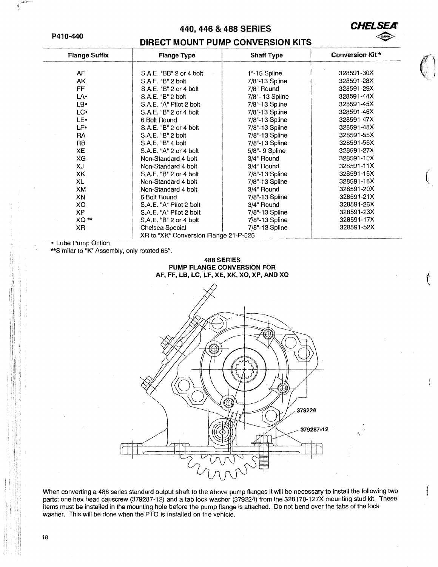#### **P410-440**

#### **440,446 & 488 SERIES**



 $\left(\begin{matrix} 1 & 1 \ 1 & 1 \end{matrix}\right)$ 

t

#### **DIRECT MOUNT PUMP CONVERSION KITS**

| <b>Flange Suffix</b> | <b>Flange Type</b>                    | <b>Shaft Type</b>  | <b>Conversion Kit*</b> |
|----------------------|---------------------------------------|--------------------|------------------------|
| AF                   | S.A.E. "BB" 2 or 4 bolt               | 1"-15 Spline       | 328591-30X             |
| AK                   | S.A.E. "B" 2 bolt                     |                    | 328591-28X             |
|                      |                                       | 7/8"-13 Spline     |                        |
| FF.                  | S.A.E. "B" 2 or 4 bolt                | 7/8" Round         | 328591-29X             |
| LA-                  | S.A.E. "B" 2 bolt                     | 7/8"- 13 Spline    | 328591-44X             |
| LB.                  | S.A.E. "A" Pilot 2 bolt               | 7/8"-13 Spline     | 328591-45X             |
| LC.                  | S.A.E. "B" 2 or 4 bolt                | 7/8"-13 Spline     | 328591-46X             |
| LE.                  | 6 Bolt Round                          | 7/8"-13 Spline     | 328591-47X             |
| LF.                  | S.A.E. "B" 2 or 4 bolt                | 7/8"-13 Spline     | 328591-48X             |
| <b>RA</b>            | S.A.E. "B" 2 bolt                     | 7/8"-13 Spline     | 328591-55X             |
| RB                   | S.A.E. "B" 4 bot                      | $7/8" - 13$ Spline | 328591-56X             |
| <b>XE</b>            | S.A.E. "A" 2 or 4 bolt                | 5/8"- 9 Spline     | 328591-27X             |
| XG                   | Non-Standard 4 bolt                   | 3/4" Round         | 328591-10X             |
| XJ                   | Non-Standard 4 bolt                   | 3/4" Round         | 328591-11X             |
| XK                   | S.A.E. "B" 2 or 4 bolt                | 7/8"-13 Spline     | 328591-16X             |
| <b>XL</b>            | Non-Standard 4 bolt                   | 7/8"-13 Spline     | 328591-18X             |
| XM                   | Non-Standard 4 bolt                   | 3/4" Round         | 328591-20X             |
| XN                   | 6 Bolt Round                          | 7/8"-13 Spline     | 328591-21X             |
| XO                   | S.A.E. "A" Pilot 2 bolt               | 3/4" Round         | 328591-26X             |
| <b>XP</b>            | S.A.E. "A" Pilot 2 bolt               | 7/8"-13 Spline     | 328591-23X             |
| $XQ \star\star$      | S.A.E. "B" 2 or 4 bolt                | $7/8$ "-13 Spline  | 328591-17X             |
| XR.                  | Chelsea Special                       | 7/8"-13 Spline     | 328591-52X             |
|                      | XR to "XK" Conversion Flange 21-P-525 |                    |                        |

• Lube Pump Option

\*\*Similar to "K" Assembly, only rotated 65°.

#### **488 SERIES PUMP FLANGE CONVERSION FOR AF, FF, LB, LC, LF, XE, XK, XO, XP, AND XO**



When converting a 488 series standard output shaft to the above pump flanges it will be necessary to install the following two parts: one hex head capscrew (379287-12) and a tab lock washer (379224) from the 328170-127X mounting stud kit. These items must be installed in the mounting hole before the pump flange is attached. Do not bend over the tabs of the lock washer. This will be done when the PTO is installed on the vehicle.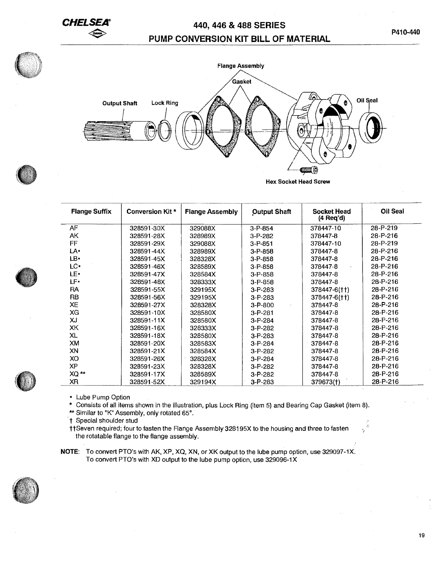# **CHELSEA" 440, 446 & 488 SERIES PUMP CONVERSION KIT BILL OF MATERIAL**



**Hex Socket Head Screw** 

| <b>Flange Suffix</b> | Conversion Kit * | <b>Flange Assembly</b> | <b>Output Shaft</b> | <b>Socket Head</b><br>$(4 \text{ Req'd})$ | Oil Seal       |
|----------------------|------------------|------------------------|---------------------|-------------------------------------------|----------------|
| AF.                  | 328591-30X       | 329088X                | $3 - P - 854$       | 378447-10                                 | 28-P-219       |
| AK                   | 328591-28X       | 328989X                | $3 - P - 282$       | 378447-8                                  | 28-P-216       |
| FF                   | 328591-29X       | 329088X                | $3 - P - 851$       | 378447-10                                 | $28 - P - 219$ |
| LA۰                  | 328591-44X       | 328989X                | $3 - P - 858$       | 378447-8                                  | 28-P-216       |
| LB.                  | 328591-45X       | 328328X                | $3 - P - 858$       | 378447-8                                  | 28-P-216       |
| LC+                  | 328591-46X       | 328589X                | $3 - P - 858$       | 378447-8                                  | $28 - P - 216$ |
| LE.                  | 328591-47X       | 328584X                | $3 - P - 858$       | 378447-8                                  | $28 - P - 216$ |
| L۴۰                  | 328591-48X       | 328333X                | $3 - P - 858$       | 378447-8                                  | 28-P-216       |
| <b>RA</b>            | 328591-55X       | 329195X                | $3-P-283$           | 378447-6(††)                              | 28-P-216       |
| RB                   | 328591-56X       | 329195X                | $3 - P - 283$       | 378447-6(††)                              | 28-P-216       |
| XE                   | 328591-27X       | 328328X                | $3 - P - 800$       | 378447-8                                  | 28-P-216       |
| XG                   | 328591-10X       | 328580X                | $3 - P - 281$       | 378447-8                                  | 28-P-216       |
| XJ                   | 328591-11X       | 328580X                | $3 - P - 284$       | 378447-8                                  | $28 - P - 216$ |
| XK                   | 328591-16X       | 328333X                | $3 - P - 282$       | 378447-8                                  | 28-P-216       |
| XL                   | 328591-18X       | 328580X                | $3 - P - 283$       | 378447-8                                  | 28-P-216       |
| XM                   | 328591-20X       | 328583X                | $3 - P - 284$       | 378447-8                                  | 28-P-216       |
| XN                   | 328591-21X       | 328584X                | $3 - P - 282$       | 378447-8                                  | 28-P-216       |
| XO                   | 328591-26X       | 328328X                | $3 - P - 284$       | 378447-8                                  | 28-P-216       |
| XP                   | 328591-23X       | 328328X                | $3 - P - 282$       | 378447-8                                  | 28-P-216       |
| $XQ \rightarrow$     | 328591-17X       | 328589X                | $3-P-282$           | 378447-8                                  | 28-P-216       |
| XR                   | 328591-52X       | 329194X                | $3 - P - 283$       | 379673(†)                                 | 28-P-216       |

• Lube Pump Option

\* Consists of all items shown in the illustration, plus Lock Ring (item 5) and Bearing Cap Gasket (item 8).

\*\* Similar to "K" Assembly, only rotated 65°.

t Special shoulder stud

ttSeven required; four to fasten the Flange Assembly 328195X to the housing and three to fasten the rotatable flange to the flange assembly.

**NOTE:** To convert PTO's with AK, XP, XQ, XN, or XK output to the lube pump option, use 329097-1X. To convert PTO's with XD output to the lube pump option, use 329096-1 X







*1* 

Í¢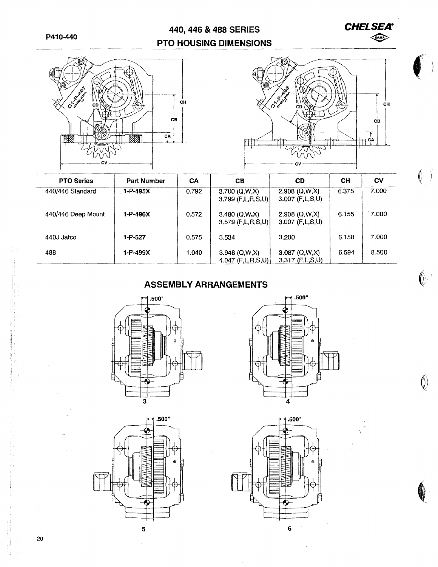# 440, 446 & 488 SERIES PTO HOUSING DIMENSIONS





**CHELSEA** 

 $\bigotimes$ 

 $\begin{array}{c} \hline \end{array}$ 

 $\mathbf{C}$  $\rightarrow$ 

 $\overline{\mathbb{Q}}$ 

 $\hat{\mathbb{O}}$ 

| <b>PTO Series</b>  | <b>Part Number</b> | CА    | CВ                                         | CD                                     | CН    | CV    |
|--------------------|--------------------|-------|--------------------------------------------|----------------------------------------|-------|-------|
| 440/446 Standard   | $1 - P - 495X$     | 0.792 | 3.700 (Q,W,X)<br>$3.799$ (F,L,R,S,U)       | $2.908$ (Q,W,X)<br>$3.007$ (F,L,S,U)   | 6.375 | 7.000 |
| 440/446 Deep Mount | 1-P-496X           | 0.572 | 3.480 (Q,W,X)<br>$3,579$ (F,L,R,S,U)       | $2.908$ (Q, W, X)<br>$3.007$ (F,L,S,U) | 6.155 | 7.000 |
| 440J Jatco         | 1-P-527            | 0.575 | 3.534                                      | 3.200                                  | 6.158 | 7.000 |
| 488                | 1-P-499X           | 1.040 | $3.948$ (Q,W,X)<br>4.047 $(F, L, R, S, U)$ | $3.087$ (Q,W,X)<br>$3.317$ (F,L,S,U)   | 6.594 | 8.500 |

# **ASSEMBLY ARRANGEMENTS**







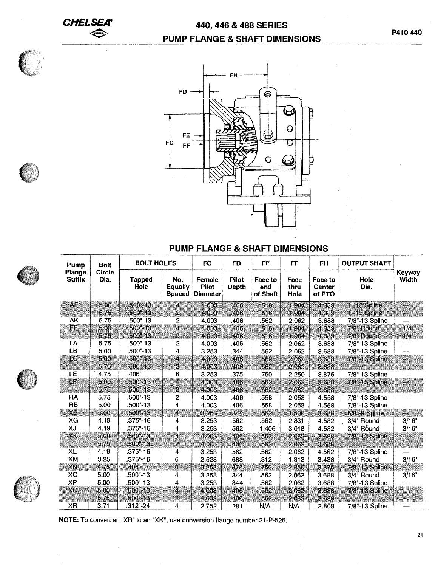**CHELSEA**   $\left\langle \sum_{i=1}^{n} a_i \right\rangle$ 

# 440, 446 & 488 SERIES PUMP FLANGE & SHAFT DIMENSIONS



## PUMP FLANGE & SHAFT DIMENSIONS

| Pump                    | <b>Bolt</b>           | <b>BOLT HOLES</b>     |                                 | <b>FC</b>                                 | <b>FD</b>             | <b>FE</b>                  | <b>FF</b>            | <b>FH</b>                                 | <b>OUTPUT SHAFT</b> |                    |
|-------------------------|-----------------------|-----------------------|---------------------------------|-------------------------------------------|-----------------------|----------------------------|----------------------|-------------------------------------------|---------------------|--------------------|
| Flange<br><b>Suffix</b> | <b>Circle</b><br>Dia. | <b>Tapped</b><br>Hole | No.<br><b>Equally</b><br>Spaced | Female<br><b>Pilot</b><br><b>Diameter</b> | <b>Pilot</b><br>Depth | Face to<br>end<br>of Shaft | Face<br>thru<br>Hole | <b>Face to</b><br><b>Center</b><br>of PTO | Hole<br>Dia.        | Keyway<br>Width    |
| AΕ                      | 5.00                  | $500^{\circ} - 13$    | 4                               | 4 0 0 3                                   | 406                   | 516                        | 1.984                | 4.389                                     | 1"-15 Spline        | Ξ.                 |
|                         | 5.75                  | $.500 - 13$           | $\overline{2}$                  | 4.003                                     | 406                   | 516                        | 1.984                | 4.389                                     | 1"-15 Spline        | ₩                  |
| AK                      | 5.75                  | .500"-13              | 2                               | 4.003                                     | .406                  | .562                       | 2.062                | 3.688                                     | 7/8"-13 Spline      |                    |
| FF                      | 5.00                  | $500 - 13$            | 4                               | 4.003                                     | .406                  | 516                        | 1.984                | 4.389                                     | 7/8" Round          | $1/4$ <sup>"</sup> |
| 88                      | 5.75                  | $.500 - 13$           | 2                               | 4.003                                     | 406                   | .516                       | 1.984                | 4.389                                     | 7/8" Round          | $1/4$ <sup>n</sup> |
| LA                      | 5.75                  | $.500 - 13$           | 2                               | 4.003                                     | .406                  | .562                       | 2.062                | 3.688                                     | 7/8"-13 Spline      |                    |
| LB                      | 5.00                  | $.500-.13$            | 4                               | 3.253                                     | .344                  | .562                       | 2.062                | 3.688                                     | 7/8"-13 Spline      |                    |
| ro                      | 500                   | $.500 - 13$           | 4                               | 4.003                                     | .406                  | 562                        | 2.062                | 3.688                                     | 7/8"-13 Spline      |                    |
|                         | 5.75                  | 500"-13               | Ź                               | 4.003                                     | 406                   | .562                       | 2.062                | 3.688                                     |                     |                    |
| LE                      | 4.75                  | .406"                 | 6                               | 3.253                                     | .375                  | .750                       | 2.250                | 3.875                                     | 7/8"-13 Spline      |                    |
| LF                      | 5.00                  | $.500 - 13$           | 4                               | 4.003                                     | 406                   | 562                        | 2062                 | 3.688                                     | 7/8"-13 Spline      |                    |
|                         | 5.75                  | $.500 - 13$           | $\overline{2}$                  | 4.003                                     | 406                   | 562                        | 2.062                | 3688                                      |                     |                    |
| RA                      | 5.75                  | $.500-.13$            | 2                               | 4.003                                     | .406                  | .558                       | 2.058                | 4.558                                     | 7/8"-13 Spline      |                    |
| RB                      | 5.00                  | $.500 - 13$           | 4                               | 4.003                                     | .406                  | .558                       | 2.058                | 4.558                                     | 7/8"-13 Spline      |                    |
| XE.                     | 5.00                  | $.500 - 13$           | 4                               | 3.253                                     | 344                   | 562                        | 1.500                | 3688                                      | 5/8"-9 Spline       | ₩                  |
| XG                      | 4.19                  | $.375 - 16$           | 4                               | 3.253                                     | .562                  | .562                       | 2.331                | 4.582                                     | 3/4" Round          | 3/16"              |
| XJ                      | 4.19                  | $.375-.16$            | 4                               | 3.253                                     | .562                  | 1.406                      | 3.018                | 4.582                                     | 3/4" Round          | 3/16"              |
| XK                      | 5.00                  | 500"-13               | 4                               | 4.003                                     | 406                   | 562                        | 2.062                | 3.688                                     | 7/8"-13 Spline      |                    |
|                         | 5.75                  | $.500 - 13$           | Ż                               | 4.003                                     | 406                   | 562                        | 2.062                | 3688                                      |                     |                    |
| XL                      | 4.19                  | $.375 - 16$           | 4                               | 3.253                                     | .562                  | .562                       | 2.062                | 4.562                                     | 7/8"-13 Spline      |                    |
| XM                      | 3.25                  | $.375-.16$            | 6                               | 2.628                                     | .688                  | .312                       | 1.812                | 3.438                                     | 3/4" Round          | 3/16"              |
| XN                      | 475                   | .406''                | 6.                              | 3.253                                     | 375                   | 750                        | 2.250                | 3.875                                     | 7/8"-13 Spline      |                    |
| XO                      | 5.00                  | .500"-13              | 4                               | 3.253                                     | .344                  | .562                       | 2.062                | 3.688                                     | 3/4" Round          | 3/16"              |
| <b>XP</b>               | 5.00                  | .500"-13              | 4                               | 3.253                                     | .344                  | .562                       | 2.062                | 3.688                                     | 7/8"-13 Spline      |                    |
| XQ                      | 5.00                  | $.500^{\circ} - 13$   | 4                               | 4.003                                     | 406                   | .562                       | 2.062                | 3.688                                     | 7/8"-13 Spline      |                    |
|                         | 5.75                  | $.500 - 13$           | 2                               | 4.003                                     | 406                   | 562                        | 2.062                | 3688                                      |                     |                    |
| <b>XR</b>               | 3.71                  | .312"-24              | 4                               | 2.752                                     | .281                  | N/A                        | N/A                  | 2.809                                     | 7/8"-13 Spline      |                    |

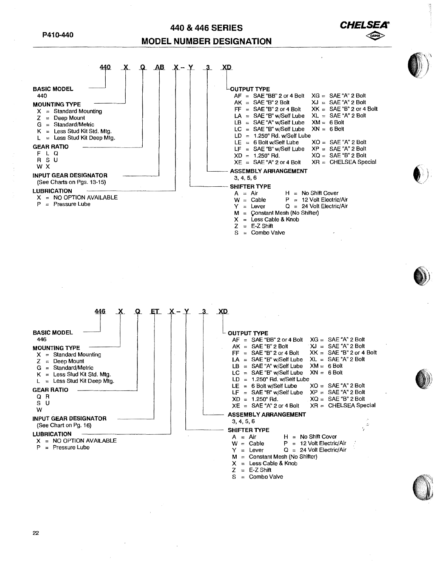## **440 & 446 SERIES MODEL NUMBER DESIGNATION**

**CHELS** 

 $\bigotimes$